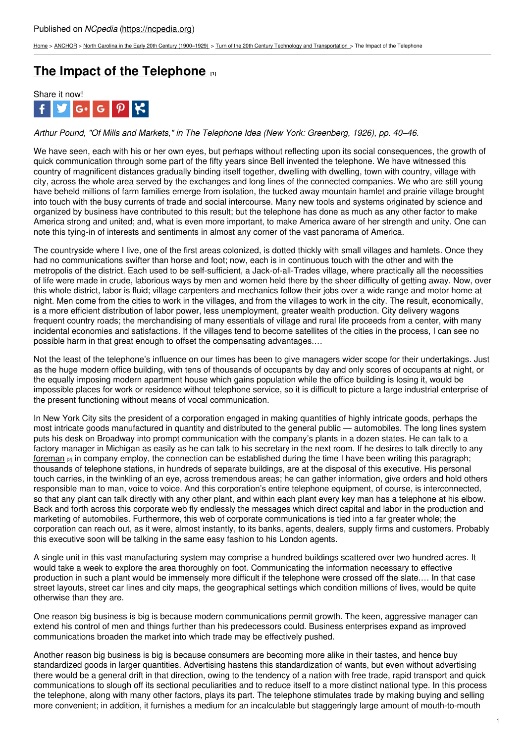[Home](https://ncpedia.org/) > [ANCHOR](https://ncpedia.org/anchor/anchor) > North Carolina in the Early 20th Century [\(1900–1929\)](https://ncpedia.org/anchor/north-carolina-early-20th) > Turn of the 20th Century Technology and [Transportation](https://ncpedia.org/anchor/turn-20th-century-technology) > The Impact of the Telephone

## **The Impact of the [Telephone](https://ncpedia.org/anchor/impact-telephone) [1]**



## *Arthur Pound, "Of Mills and Markets," in The Telephone Idea (New York: Greenberg, 1926), pp. 40–46.*

We have seen, each with his or her own eyes, but perhaps without reflecting upon its social consequences, the growth of quick communication through some part of the fifty years since Bell invented the telephone. We have witnessed this country of magnificent distances gradually binding itself together, dwelling with dwelling, town with country, village with city, across the whole area served by the exchanges and long lines of the connected companies. We who are still young have beheld millions of farm families emerge from isolation, the tucked away mountain hamlet and prairie village brought into touch with the busy currents of trade and social intercourse. Many new tools and systems originated by science and organized by business have contributed to this result; but the telephone has done as much as any other factor to make America strong and united; and, what is even more important, to make America aware of her strength and unity. One can note this tying-in of interests and s[entiments](http://www.social9.com) in almost any corner of the vast panorama of America.

The countryside where I live, one of the first areas colonized, is dotted thickly with small villages and hamlets. Once they had no communications swifter than horse and foot; now, each is in continuous touch with the other and with the metropolis of the district. Each used to be self-sufficient, a Jack-of-all-Trades village, where practically all the necessities of life were made in crude, laborious ways by men and women held there by the sheer difficulty of getting away. Now, over this whole district, labor is fluid; village carpenters and mechanics follow their jobs over a wide range and motor home at night. Men come from the cities to work in the villages, and from the villages to work in the city. The result, economically, is a more efficient distribution of labor power, less unemployment, greater wealth production. City delivery wagons frequent country roads; the merchandising of many essentials of village and rural life proceeds from a center, with many incidental economies and satisfactions. If the villages tend to become satellites of the cities in the process, I can see no possible harm in that great enough to offset the compensating advantages.…

Not the least of the telephone's influence on our times has been to give managers wider scope for their undertakings. Just as the huge modern office building, with tens of thousands of occupants by day and only scores of occupants at night, or the equally imposing modern apartment house which gains population while the office building is losing it, would be impossible places for work or residence without telephone service, so it is difficult to picture a large industrial enterprise of the present functioning without means of vocal communication.

In New York City sits the president of a corporation engaged in making quantities of highly intricate goods, perhaps the most intricate goods manufactured in quantity and distributed to the general public — automobiles. The long lines system puts his desk on Broadway into prompt communication with the company's plants in a dozen states. He can talk to a factory manager in Michigan as easily as he can talk to his secretary in the next room. If he desires to talk directly to any [foreman](https://ncpedia.org/glossary/foreman)  $_{[2]}$  in company employ, the connection can be established during the time I have been writing this paragraph; thousands of telephone stations, in hundreds of separate buildings, are at the disposal of this executive. His personal touch carries, in the twinkling of an eye, across tremendous areas; he can gather information, give orders and hold others responsible man to man, voice to voice. And this corporation's entire telephone equipment, of course, is interconnected, so that any plant can talk directly with any other plant, and within each plant every key man has a telephone at his elbow. Back and forth across this corporate web fly endlessly the messages which direct capital and labor in the production and marketing of automobiles. Furthermore, this web of corporate communications is tied into a far greater whole; the corporation can reach out, as it were, almost instantly, to its banks, agents, dealers, supply firms and customers. Probably this executive soon will be talking in the same easy fashion to his London agents.

A single unit in this vast manufacturing system may comprise a hundred buildings scattered over two hundred acres. It would take a week to explore the area thoroughly on foot. Communicating the information necessary to effective production in such a plant would be immensely more difficult if the telephone were crossed off the slate.… In that case street layouts, street car lines and city maps, the geographical settings which condition millions of lives, would be quite otherwise than they are.

One reason big business is big is because modern communications permit growth. The keen, aggressive manager can extend his control of men and things further than his predecessors could. Business enterprises expand as improved communications broaden the market into which trade may be effectively pushed.

Another reason big business is big is because consumers are becoming more alike in their tastes, and hence buy standardized goods in larger quantities. Advertising hastens this standardization of wants, but even without advertising there would be a general drift in that direction, owing to the tendency of a nation with free trade, rapid transport and quick communications to slough off its sectional peculiarities and to reduce itself to a more distinct national type. In this process the telephone, along with many other factors, plays its part. The telephone stimulates trade by making buying and selling more convenient; in addition, it furnishes a medium for an incalculable but staggeringly large amount of mouth-to-mouth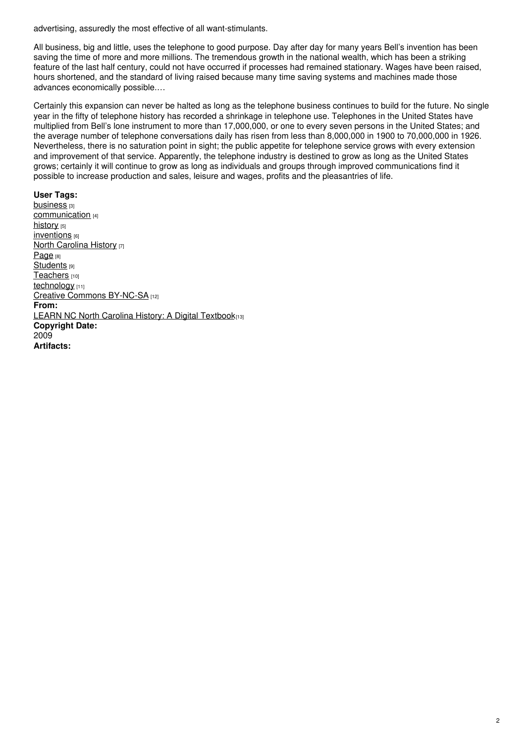advertising, assuredly the most effective of all want-stimulants.

All business, big and little, uses the telephone to good purpose. Day after day for many years Bell's invention has been saving the time of more and more millions. The tremendous growth in the national wealth, which has been a striking feature of the last half century, could not have occurred if processes had remained stationary. Wages have been raised, hours shortened, and the standard of living raised because many time saving systems and machines made those advances economically possible.…

Certainly this expansion can never be halted as long as the telephone business continues to build for the future. No single year in the fifty of telephone history has recorded a shrinkage in telephone use. Telephones in the United States have multiplied from Bell's lone instrument to more than 17,000,000, or one to every seven persons in the United States; and the average number of telephone conversations daily has risen from less than 8,000,000 in 1900 to 70,000,000 in 1926. Nevertheless, there is no saturation point in sight; the public appetite for telephone service grows with every extension and improvement of that service. Apparently, the telephone industry is destined to grow as long as the United States grows; certainly it will continue to grow as long as individuals and groups through improved communications find it possible to increase production and sales, leisure and wages, profits and the pleasantries of life.

## **User Tags:**

[business](https://ncpedia.org/category/user-tags/business) [3] [communication](https://ncpedia.org/category/user-tags/communication) [4] [history](https://ncpedia.org/category/user-tags/history) [5] [inventions](https://ncpedia.org/category/user-tags/inventions) [6] **North [Carolina](https://ncpedia.org/category/user-tags/north-carolina-6) History [7]** [Page](https://ncpedia.org/category/user-tags/page) [8] [Students](https://ncpedia.org/category/user-tags/students) [9] [Teachers](https://ncpedia.org/category/user-tags/teachers) [10] [technology](https://ncpedia.org/category/user-tags/technology) [11] Creative Commons [BY-NC-SA](https://ncpedia.org/category/user-tags/creative-commons) [12] **From:** LEARN NC North Carolina History: A Digital [Textbook](https://ncpedia.org/category/entry-source/learn-nc)[13] **Copyright Date:** 2009 **Artifacts:**